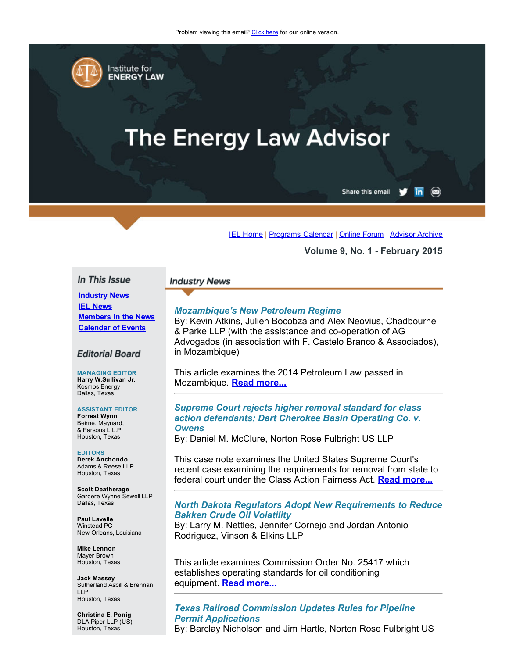

Institute for **ENERGY LAW** 

# **The Energy Law Advisor**

Share this email

 $\overline{\mathsf{in}}$   $\otimes$ 

[IEL Home](http://www.cailaw.org/institute-for-energy-law/index.html?utm_source=Informz&utm_medium=Email&utm_campaign=Event+Details) | [Programs Calendar](http://www.cailaw.org/institute-for-energy-law/programs-calendar.html?utm_source=Informz&utm_medium=Email&utm_campaign=Event+Details) | [Online Forum](https://www.linkedin.com/groups?gid=2330688&trk=myg_ugrp_ovr) | [Advisor Archive](http://www.cailaw.org/institute-for-energy-law/publications/energy-law-advisor.html?utm_source=Informz&utm_medium=Email&utm_campaign=Event+Details)

#### Volume 9, No. 1 February 2015

#### In This Issue

# Industry News **IEL News** Members in the News

Calendar of Events

## **Editorial Board**

MANAGING EDITOR Harry W.Sullivan Jr. Kosmos Energy Dallas, Texas

#### ASSISTANT EDITOR Forrest Wynn Beirne, Maynard,

& Parsons L.L.P. Houston, Texas

#### EDITORS Derek Anchondo

Adams & Reese LLP Houston, Texas

Scott Deatherage Gardere Wynne Sewell LLP Dallas, Texas

Paul Lavelle Winstead PC New Orleans, Louisiana

Mike Lennon Mayer Brown Houston, Texas

Jack Massey Sutherland Asbill & Brennan LLP Houston, Texas

Christina E. Ponig DLA Piper LLP (US) Houston, Texas

#### **Industry News**

## *Mozambique's New Petroleum Regime*

By: Kevin Atkins, Julien Bocobza and Alex Neovius, Chadbourne & Parke LLP (with the assistance and co-operation of AG Advogados (in association with F. Castelo Branco & Associados), in Mozambique)

This article examines the 2014 Petroleum Law passed in Mozambique. [Read more...](http://cailaw.informz.net/admin31/content/template.asp?sid=37782&ptid=799&brandid=3434&uid=781094093&mi=4044506&ps=37782)

#### *Supreme Court rejects higher removal standard for class action defendants; Dart Cherokee Basin Operating Co. v. Owens*

By: Daniel M. McClure, Norton Rose Fulbright US LLP

This case note examines the United States Supreme Court's recent case examining the requirements for removal from state to federal court under the Class Action Fairness Act. [Read more...](http://www.cailaw.org/media/files/IEL/Publications/2015/dart-cherokee-ela-vol9no1.pdf)

# *North Dakota Regulators Adopt New Requirements to Reduce Bakken Crude Oil Volatility*

By: Larry M. Nettles, Jennifer Cornejo and Jordan Antonio Rodriguez, Vinson & Elkins LLP

This article examines Commission Order No. 25417 which establishes operating standards for oil conditioning equipment. [Read more...](http://www.cailaw.org/media/files/IEL/Publications/2015/nd-crude-ela-vol9no1.pdf)

# *Texas Railroad Commission Updates Rules for Pipeline Permit Applications*

By: Barclay Nicholson and Jim Hartle, Norton Rose Fulbright US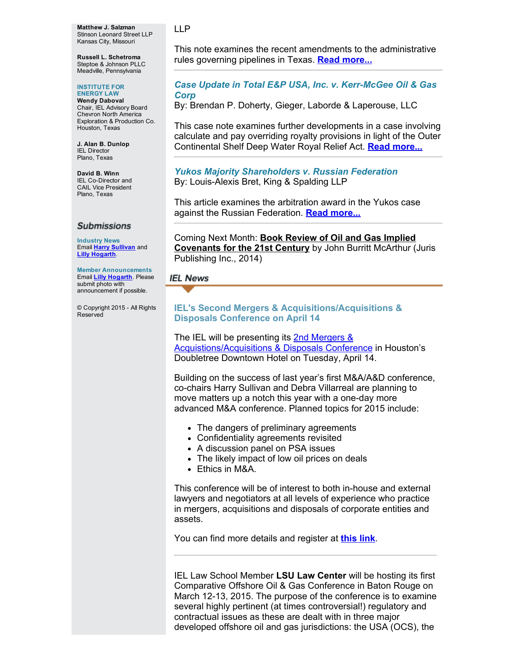Matthew J. Salzman Stinson Leonard Street LLP Kansas City, Missouri

Russell L. Schetroma Steptoe & Johnson PLLC Meadville, Pennsylvania

#### INSTITUTE FOR ENERGY LAW

Wendy Daboval Chair, IEL Advisory Board Chevron North America Exploration & Production Co. Houston, Texas

J. Alan B. Dunlop IEL Director Plano, Texas

David B. Winn IEL Co-Director and CAIL Vice President Plano, Texas

## **Submissions**

Industry News Email **Harry [Sullivan](mailto:harry.w.sullivan@conocophillips.com)** and Lilly [Hogarth.](mailto:lhogarth@cailaw.org)

Member Announcements Email Lilly [Hogarth.](mailto:lhogarth@cailaw.org) Please submit photo with announcement if possible.

© Copyright 2015 All Rights Reserved

This note examines the recent amendments to the administrative rules governing pipelines in Texas. **Read [more...](http://cailaw.informz.net/admin31/content/template.asp?sid=37784&ptid=799&brandid=3434&uid=781094093&mi=4044506&ps=37784)** 

# *Case Update in Total E&P USA, Inc. v. KerrMcGee Oil & Gas Corp*

By: Brendan P. Doherty, Gieger, Laborde & Laperouse, LLC

This case note examines further developments in a case involving calculate and pay overriding royalty provisions in light of the Outer Continental Shelf Deep Water Royal Relief Act. Read [more...](http://cailaw.informz.net/admin31/content/template.asp?sid=37786&ptid=799&brandid=3434&uid=781094093&mi=4044506&ps=37786)

# *Yukos Majority Shareholders v. Russian Federation* By: Louis-Alexis Bret, King & Spalding LLP

This article examines the arbitration award in the Yukos case against the Russian Federation. **Read [more...](http://cailaw.informz.net/admin31/content/template.asp?sid=37788&ptid=799&brandid=3434&uid=781094093&mi=4044506&ps=37788)** 

Coming Next Month: Book Review of Oil and Gas Implied Covenants for the 21st Century by John Burritt McArthur (Juris Publishing Inc., 2014)

# **IEL News**

# IEL's Second Mergers & Acquisitions/Acquisitions & Disposals Conference on April 14

The IEL will be presenting its 2nd Mergers & [Acquistions/Acquisitions](http://www.cailaw.org/institute-for-energy-law/events/2015/mergers-and-acquisitions.html?utm_source=Informz&utm_medium=Email&utm_campaign=Event+Details) & Disposals Conference in Houston's Doubletree Downtown Hotel on Tuesday, April 14.

Building on the success of last year's first M&A/A&D conference, co-chairs Harry Sullivan and Debra Villarreal are planning to move matters up a notch this year with a one-day more advanced M&A conference. Planned topics for 2015 include:

- The dangers of preliminary agreements
- Confidentiality agreements revisited
- A discussion panel on PSA issues
- The likely impact of low oil prices on deals
- Ethics in M&A.

This conference will be of interest to both in-house and external lawyers and negotiators at all levels of experience who practice in mergers, acquisitions and disposals of corporate entities and assets.

You can find more details and register at [this](http://www.cailaw.org/institute-for-energy-law/events/2015/mergers-and-acquisitions.html?utm_source=Informz&utm_medium=Email&utm_campaign=Event+Details) link.

IEL Law School Member LSU Law Center will be hosting its first Comparative Offshore Oil & Gas Conference in Baton Rouge on March 12-13, 2015. The purpose of the conference is to examine several highly pertinent (at times controversial!) regulatory and contractual issues as these are dealt with in three major developed offshore oil and gas jurisdictions: the USA (OCS), the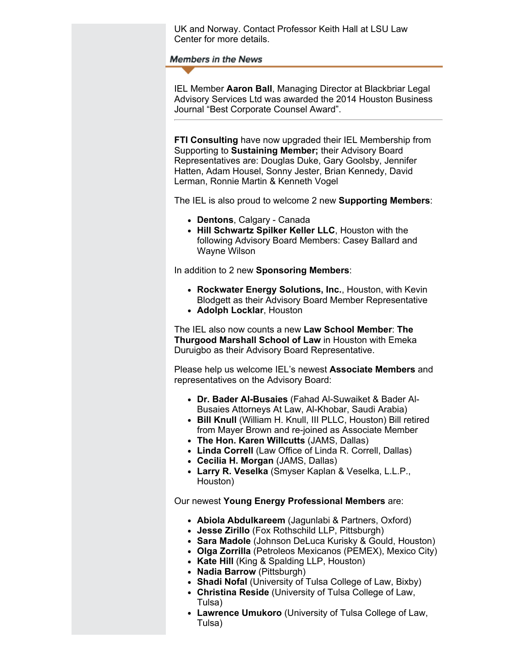UK and Norway. Contact Professor Keith Hall at LSU Law Center for more details.

**Members in the News** 

IEL Member Aaron Ball, Managing Director at Blackbriar Legal Advisory Services Ltd was awarded the 2014 Houston Business Journal "Best Corporate Counsel Award".

FTI Consulting have now upgraded their IEL Membership from Supporting to Sustaining Member; their Advisory Board Representatives are: Douglas Duke, Gary Goolsby, Jennifer Hatten, Adam Housel, Sonny Jester, Brian Kennedy, David Lerman, Ronnie Martin & Kenneth Vogel

The IEL is also proud to welcome 2 new Supporting Members:

- Dentons, Calgary Canada
- Hill Schwartz Spilker Keller LLC, Houston with the following Advisory Board Members: Casey Ballard and Wayne Wilson

In addition to 2 new Sponsoring Members:

- Rockwater Energy Solutions, Inc., Houston, with Kevin Blodgett as their Advisory Board Member Representative
- Adolph Locklar, Houston

The IEL also now counts a new Law School Member: The Thurgood Marshall School of Law in Houston with Emeka Duruigbo as their Advisory Board Representative.

Please help us welcome IEL's newest **Associate Members** and representatives on the Advisory Board:

- Dr. Bader Al-Busaies (Fahad Al-Suwaiket & Bader Al-Busaies Attorneys At Law, Al-Khobar, Saudi Arabia)
- Bill Knull (William H. Knull, III PLLC, Houston) Bill retired from Mayer Brown and re-joined as Associate Member
- The Hon. Karen Willcutts (JAMS, Dallas)
- Linda Correll (Law Office of Linda R. Correll, Dallas)
- Cecilia H. Morgan (JAMS, Dallas)
- Larry R. Veselka (Smyser Kaplan & Veselka, L.L.P., Houston)

Our newest Young Energy Professional Members are:

- Abiola Abdulkareem (Jagunlabi & Partners, Oxford)
- Jesse Zirillo (Fox Rothschild LLP, Pittsburgh)
- Sara Madole (Johnson DeLuca Kurisky & Gould, Houston)
- Olga Zorrilla (Petroleos Mexicanos (PEMEX), Mexico City)
- Kate Hill (King & Spalding LLP, Houston)
- Nadia Barrow (Pittsburgh)
- Shadi Nofal (University of Tulsa College of Law, Bixby)
- Christina Reside (University of Tulsa College of Law, Tulsa)
- Lawrence Umukoro (University of Tulsa College of Law, Tulsa)